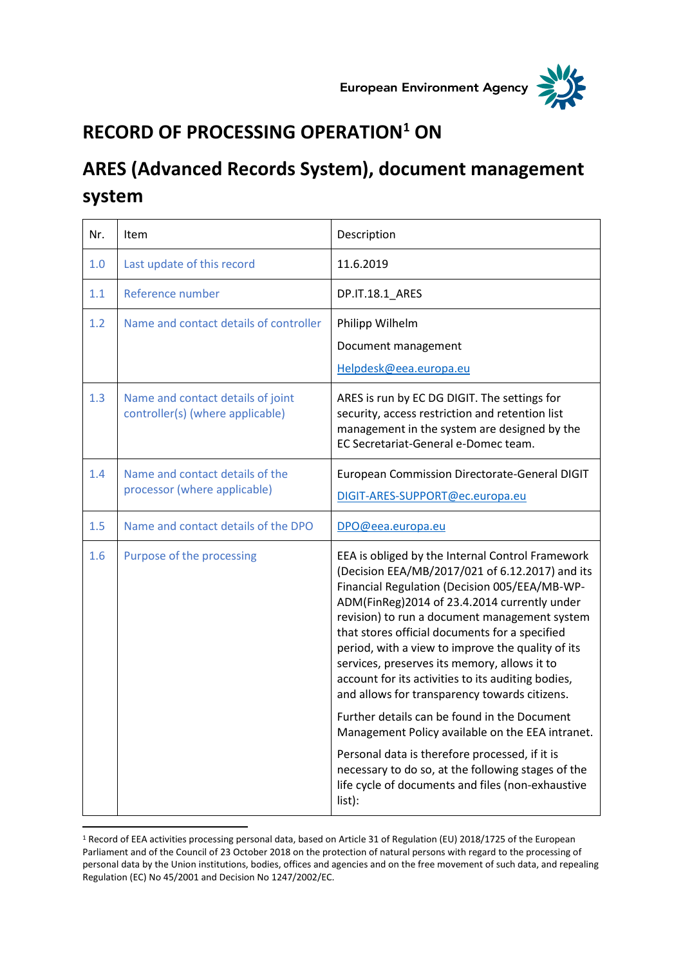



## **RECORD OF PROCESSING OPERATION<sup>1</sup> ON**

## **ARES (Advanced Records System), document management system**

| Nr. | Item                                                                  | Description                                                                                                                                                                                                                                                                                                                                                                                                                                                                                                                                                                                                                                                                                                                                                                                    |
|-----|-----------------------------------------------------------------------|------------------------------------------------------------------------------------------------------------------------------------------------------------------------------------------------------------------------------------------------------------------------------------------------------------------------------------------------------------------------------------------------------------------------------------------------------------------------------------------------------------------------------------------------------------------------------------------------------------------------------------------------------------------------------------------------------------------------------------------------------------------------------------------------|
| 1.0 | Last update of this record                                            | 11.6.2019                                                                                                                                                                                                                                                                                                                                                                                                                                                                                                                                                                                                                                                                                                                                                                                      |
| 1.1 | Reference number                                                      | DP.IT.18.1_ARES                                                                                                                                                                                                                                                                                                                                                                                                                                                                                                                                                                                                                                                                                                                                                                                |
| 1.2 | Name and contact details of controller                                | Philipp Wilhelm<br>Document management<br>Helpdesk@eea.europa.eu                                                                                                                                                                                                                                                                                                                                                                                                                                                                                                                                                                                                                                                                                                                               |
| 1.3 | Name and contact details of joint<br>controller(s) (where applicable) | ARES is run by EC DG DIGIT. The settings for<br>security, access restriction and retention list<br>management in the system are designed by the<br>EC Secretariat-General e-Domec team.                                                                                                                                                                                                                                                                                                                                                                                                                                                                                                                                                                                                        |
| 1.4 | Name and contact details of the<br>processor (where applicable)       | European Commission Directorate-General DIGIT<br>DIGIT-ARES-SUPPORT@ec.europa.eu                                                                                                                                                                                                                                                                                                                                                                                                                                                                                                                                                                                                                                                                                                               |
| 1.5 | Name and contact details of the DPO                                   | DPO@eea.europa.eu                                                                                                                                                                                                                                                                                                                                                                                                                                                                                                                                                                                                                                                                                                                                                                              |
| 1.6 | Purpose of the processing                                             | EEA is obliged by the Internal Control Framework<br>(Decision EEA/MB/2017/021 of 6.12.2017) and its<br>Financial Regulation (Decision 005/EEA/MB-WP-<br>ADM(FinReg)2014 of 23.4.2014 currently under<br>revision) to run a document management system<br>that stores official documents for a specified<br>period, with a view to improve the quality of its<br>services, preserves its memory, allows it to<br>account for its activities to its auditing bodies,<br>and allows for transparency towards citizens.<br>Further details can be found in the Document<br>Management Policy available on the EEA intranet.<br>Personal data is therefore processed, if it is<br>necessary to do so, at the following stages of the<br>life cycle of documents and files (non-exhaustive<br>list): |

<sup>1</sup> Record of EEA activities processing personal data, based on Article 31 of Regulation (EU) 2018/1725 of the European Parliament and of the Council of 23 October 2018 on the protection of natural persons with regard to the processing of personal data by the Union institutions, bodies, offices and agencies and on the free movement of such data, and repealing Regulation (EC) No 45/2001 and Decision No 1247/2002/EC.

 $\overline{a}$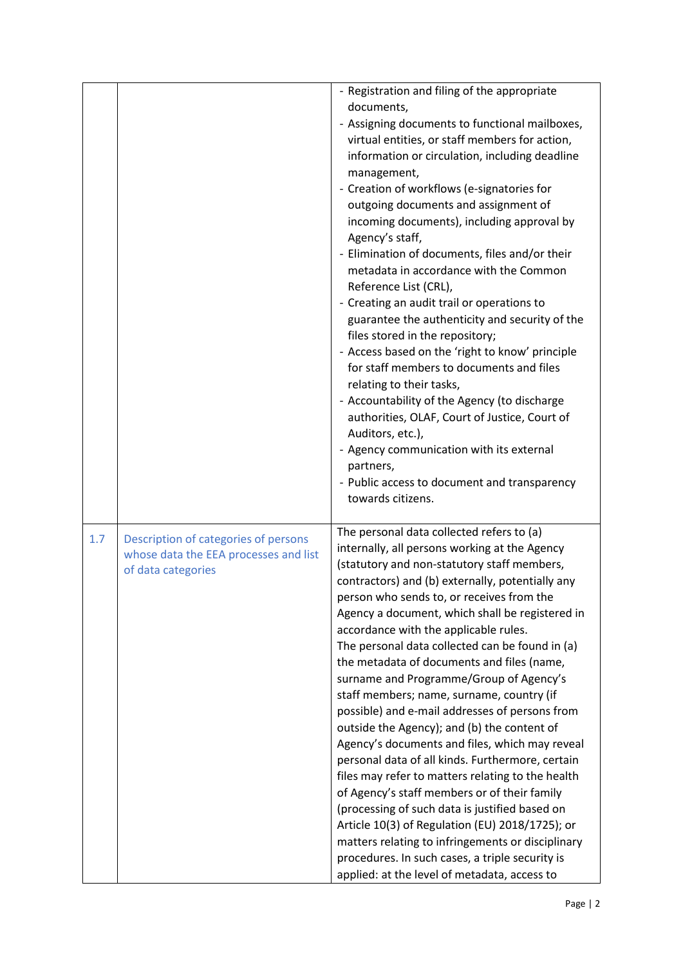|     |                                                                                                     | - Registration and filing of the appropriate<br>documents,<br>- Assigning documents to functional mailboxes,<br>virtual entities, or staff members for action,<br>information or circulation, including deadline<br>management,<br>- Creation of workflows (e-signatories for<br>outgoing documents and assignment of<br>incoming documents), including approval by<br>Agency's staff,<br>- Elimination of documents, files and/or their<br>metadata in accordance with the Common<br>Reference List (CRL),<br>- Creating an audit trail or operations to<br>guarantee the authenticity and security of the<br>files stored in the repository;<br>- Access based on the 'right to know' principle<br>for staff members to documents and files<br>relating to their tasks,<br>- Accountability of the Agency (to discharge<br>authorities, OLAF, Court of Justice, Court of<br>Auditors, etc.),<br>- Agency communication with its external<br>partners,<br>- Public access to document and transparency<br>towards citizens.                                                                             |
|-----|-----------------------------------------------------------------------------------------------------|----------------------------------------------------------------------------------------------------------------------------------------------------------------------------------------------------------------------------------------------------------------------------------------------------------------------------------------------------------------------------------------------------------------------------------------------------------------------------------------------------------------------------------------------------------------------------------------------------------------------------------------------------------------------------------------------------------------------------------------------------------------------------------------------------------------------------------------------------------------------------------------------------------------------------------------------------------------------------------------------------------------------------------------------------------------------------------------------------------|
| 1.7 | Description of categories of persons<br>whose data the EEA processes and list<br>of data categories | The personal data collected refers to (a)<br>internally, all persons working at the Agency<br>(statutory and non-statutory staff members,<br>contractors) and (b) externally, potentially any<br>person who sends to, or receives from the<br>Agency a document, which shall be registered in<br>accordance with the applicable rules.<br>The personal data collected can be found in (a)<br>the metadata of documents and files (name,<br>surname and Programme/Group of Agency's<br>staff members; name, surname, country (if<br>possible) and e-mail addresses of persons from<br>outside the Agency); and (b) the content of<br>Agency's documents and files, which may reveal<br>personal data of all kinds. Furthermore, certain<br>files may refer to matters relating to the health<br>of Agency's staff members or of their family<br>(processing of such data is justified based on<br>Article 10(3) of Regulation (EU) 2018/1725); or<br>matters relating to infringements or disciplinary<br>procedures. In such cases, a triple security is<br>applied: at the level of metadata, access to |